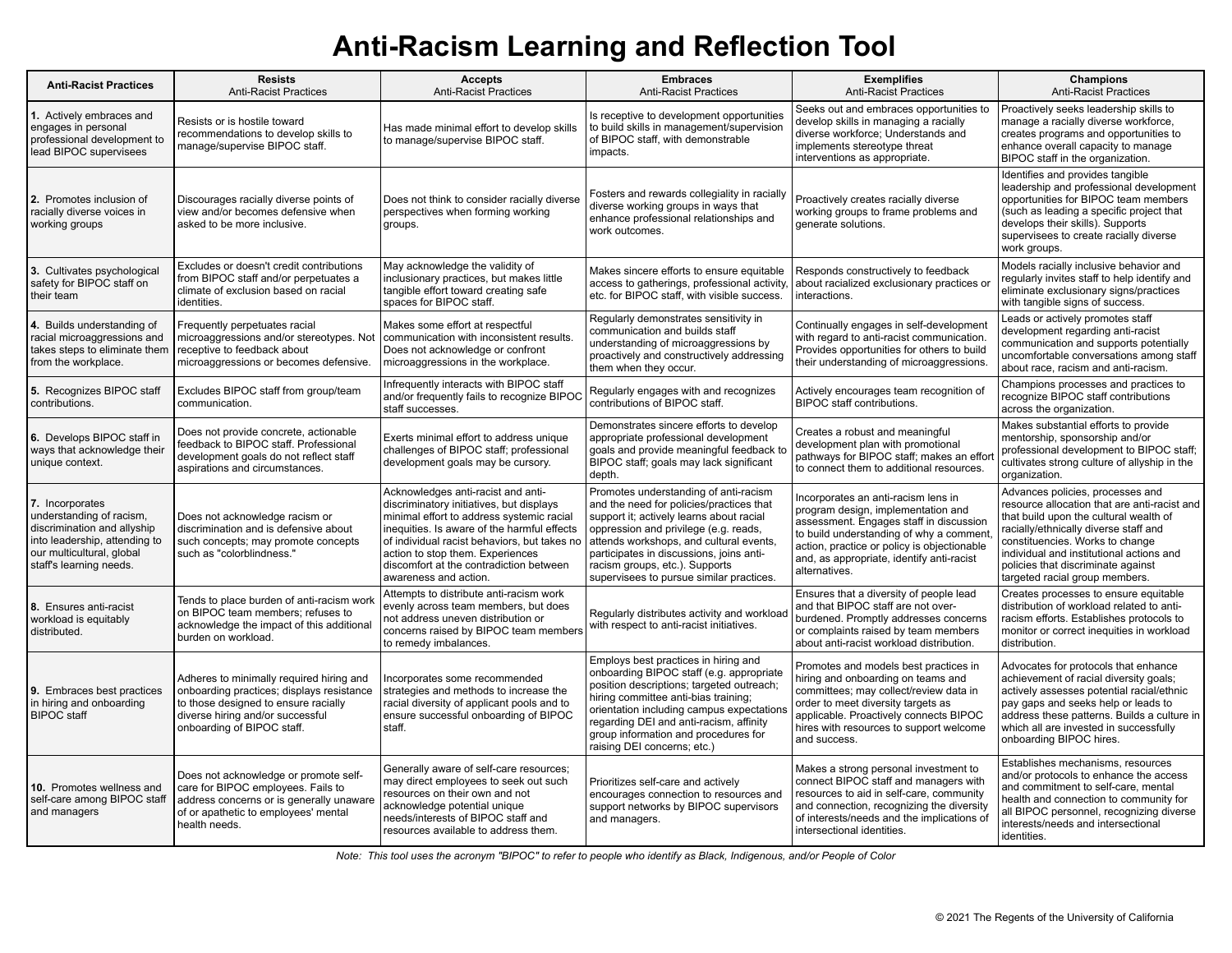# **Anti-Racism Learning and Reflection Tool**

| <b>Anti-Racist Practices</b>                                                                                                                                        | <b>Resists</b><br><b>Anti-Racist Practices</b>                                                                                                                                                  | <b>Accepts</b><br><b>Anti-Racist Practices</b>                                                                                                                                                                                                                                                                                     | <b>Embraces</b><br><b>Anti-Racist Practices</b>                                                                                                                                                                                                                                                                                             | <b>Exemplifies</b><br><b>Anti-Racist Practices</b>                                                                                                                                                                                                                           | Champions<br><b>Anti-Racist Practices</b>                                                                                                                                                                                                                                                                                  |
|---------------------------------------------------------------------------------------------------------------------------------------------------------------------|-------------------------------------------------------------------------------------------------------------------------------------------------------------------------------------------------|------------------------------------------------------------------------------------------------------------------------------------------------------------------------------------------------------------------------------------------------------------------------------------------------------------------------------------|---------------------------------------------------------------------------------------------------------------------------------------------------------------------------------------------------------------------------------------------------------------------------------------------------------------------------------------------|------------------------------------------------------------------------------------------------------------------------------------------------------------------------------------------------------------------------------------------------------------------------------|----------------------------------------------------------------------------------------------------------------------------------------------------------------------------------------------------------------------------------------------------------------------------------------------------------------------------|
| 1. Actively embraces and<br>engages in personal<br>professional development to<br>lead BIPOC supervisees                                                            | Resists or is hostile toward<br>recommendations to develop skills to<br>manage/supervise BIPOC staff.                                                                                           | Has made minimal effort to develop skills<br>to manage/supervise BIPOC staff.                                                                                                                                                                                                                                                      | Is receptive to development opportunities<br>to build skills in management/supervision<br>of BIPOC staff, with demonstrable<br>impacts.                                                                                                                                                                                                     | Seeks out and embraces opportunities to<br>develop skills in managing a racially<br>diverse workforce; Understands and<br>implements stereotype threat<br>interventions as appropriate.                                                                                      | Proactively seeks leadership skills to<br>manage a racially diverse workforce,<br>creates programs and opportunities to<br>enhance overall capacity to manage<br>BIPOC staff in the organization.                                                                                                                          |
| 2. Promotes inclusion of<br>racially diverse voices in<br>working groups                                                                                            | Discourages racially diverse points of<br>view and/or becomes defensive when<br>asked to be more inclusive.                                                                                     | Does not think to consider racially diverse<br>perspectives when forming working<br>groups.                                                                                                                                                                                                                                        | Fosters and rewards collegiality in racially<br>diverse working groups in ways that<br>enhance professional relationships and<br>work outcomes.                                                                                                                                                                                             | Proactively creates racially diverse<br>working groups to frame problems and<br>generate solutions.                                                                                                                                                                          | Identifies and provides tangible<br>leadership and professional development<br>opportunities for BIPOC team members<br>(such as leading a specific project that<br>develops their skills). Supports<br>supervisees to create racially diverse<br>work groups.                                                              |
| 3. Cultivates psychological<br>safety for BIPOC staff on<br>their team                                                                                              | Excludes or doesn't credit contributions<br>from BIPOC staff and/or perpetuates a<br>climate of exclusion based on racial<br>identities.                                                        | May acknowledge the validity of<br>inclusionary practices, but makes little<br>tangible effort toward creating safe<br>spaces for BIPOC staff.                                                                                                                                                                                     | Makes sincere efforts to ensure equitable<br>access to gatherings, professional activity,<br>etc. for BIPOC staff, with visible success.                                                                                                                                                                                                    | Responds constructively to feedback<br>about racialized exclusionary practices or<br>interactions.                                                                                                                                                                           | Models racially inclusive behavior and<br>regularly invites staff to help identify and<br>eliminate exclusionary signs/practices<br>with tangible signs of success.                                                                                                                                                        |
| 4. Builds understanding of<br>racial microaggressions and<br>takes steps to eliminate them<br>from the workplace.                                                   | Frequently perpetuates racial<br>microaggressions and/or stereotypes. Not<br>receptive to feedback about<br>microaggressions or becomes defensive.                                              | Makes some effort at respectful<br>communication with inconsistent results.<br>Does not acknowledge or confront<br>microaggressions in the workplace.                                                                                                                                                                              | Reqularly demonstrates sensitivity in<br>communication and builds staff<br>understanding of microaggressions by<br>proactively and constructively addressing<br>them when they occur.                                                                                                                                                       | Continually engages in self-development<br>with regard to anti-racist communication.<br>Provides opportunities for others to build<br>their understanding of microaggressions.                                                                                               | Leads or actively promotes staff<br>development regarding anti-racist<br>communication and supports potentially<br>uncomfortable conversations among staff<br>about race, racism and anti-racism.                                                                                                                          |
| 5. Recognizes BIPOC staff<br>contributions.                                                                                                                         | Excludes BIPOC staff from group/team<br>communication.                                                                                                                                          | Infrequently interacts with BIPOC staff<br>and/or frequently fails to recognize BIPOC<br>staff successes.                                                                                                                                                                                                                          | Regularly engages with and recognizes<br>contributions of BIPOC staff.                                                                                                                                                                                                                                                                      | Actively encourages team recognition of<br>BIPOC staff contributions.                                                                                                                                                                                                        | Champions processes and practices to<br>recognize BIPOC staff contributions<br>across the organization.                                                                                                                                                                                                                    |
| 6. Develops BIPOC staff in<br>ways that acknowledge their<br>unique context.                                                                                        | Does not provide concrete, actionable<br>feedback to BIPOC staff. Professional<br>development goals do not reflect staff<br>aspirations and circumstances.                                      | Exerts minimal effort to address unique<br>challenges of BIPOC staff; professional<br>development goals may be cursory.                                                                                                                                                                                                            | Demonstrates sincere efforts to develop<br>appropriate professional development<br>goals and provide meaningful feedback to<br>BIPOC staff; goals may lack significant<br>depth.                                                                                                                                                            | Creates a robust and meaningful<br>development plan with promotional<br>pathways for BIPOC staff; makes an effor<br>to connect them to additional resources.                                                                                                                 | Makes substantial efforts to provide<br>mentorship, sponsorship and/or<br>professional development to BIPOC staff;<br>cultivates strong culture of allyship in the<br>organization.                                                                                                                                        |
| 7. Incorporates<br>understanding of racism,<br>discrimination and allyship<br>into leadership, attending to<br>our multicultural, global<br>staff's learning needs. | Does not acknowledge racism or<br>discrimination and is defensive about<br>such concepts; may promote concepts<br>such as "colorblindness."                                                     | Acknowledges anti-racist and anti-<br>discriminatory initiatives, but displays<br>minimal effort to address systemic racial<br>inequities. Is aware of the harmful effects<br>of individual racist behaviors, but takes no<br>action to stop them. Experiences<br>discomfort at the contradiction between<br>awareness and action. | Promotes understanding of anti-racism<br>and the need for policies/practices that<br>support it; actively learns about racial<br>oppression and privilege (e.g. reads,<br>attends workshops, and cultural events,<br>participates in discussions, joins anti-<br>racism groups, etc.). Supports<br>supervisees to pursue similar practices. | Incorporates an anti-racism lens in<br>program design, implementation and<br>assessment. Engages staff in discussion<br>to build understanding of why a comment<br>action, practice or policy is objectionable<br>and, as appropriate, identify anti-racist<br>alternatives. | Advances policies, processes and<br>resource allocation that are anti-racist and<br>that build upon the cultural wealth of<br>racially/ethnically diverse staff and<br>constituencies. Works to change<br>individual and institutional actions and<br>policies that discriminate against<br>targeted racial group members. |
| 8. Ensures anti-racist<br>workload is equitably<br>distributed.                                                                                                     | Tends to place burden of anti-racism work<br>on BIPOC team members: refuses to<br>acknowledge the impact of this additional<br>burden on workload.                                              | Attempts to distribute anti-racism work<br>evenly across team members, but does<br>not address uneven distribution or<br>concerns raised by BIPOC team members<br>to remedy imbalances.                                                                                                                                            | Regularly distributes activity and workload<br>with respect to anti-racist initiatives.                                                                                                                                                                                                                                                     | Ensures that a diversity of people lead<br>and that BIPOC staff are not over-<br>burdened. Promptly addresses concerns<br>or complaints raised by team members<br>about anti-racist workload distribution.                                                                   | Creates processes to ensure equitable<br>distribution of workload related to anti-<br>racism efforts. Establishes protocols to<br>monitor or correct inequities in workload<br>distribution.                                                                                                                               |
| 9. Embraces best practices<br>in hiring and onboarding<br><b>BIPOC</b> staff                                                                                        | Adheres to minimally required hiring and<br>onboarding practices; displays resistance<br>to those designed to ensure racially<br>diverse hiring and/or successful<br>onboarding of BIPOC staff. | Incorporates some recommended<br>strategies and methods to increase the<br>racial diversity of applicant pools and to<br>ensure successful onboarding of BIPOC<br>staff.                                                                                                                                                           | Employs best practices in hiring and<br>onboarding BIPOC staff (e.g. appropriate<br>position descriptions; targeted outreach;<br>hiring committee anti-bias training;<br>orientation including campus expectations<br>regarding DEI and anti-racism, affinity<br>group information and procedures for<br>raising DEI concerns; etc.)        | Promotes and models best practices in<br>hiring and onboarding on teams and<br>committees; may collect/review data in<br>order to meet diversity targets as<br>applicable. Proactively connects BIPOC<br>hires with resources to support welcome<br>and success.             | Advocates for protocols that enhance<br>achievement of racial diversity goals;<br>actively assesses potential racial/ethnic<br>pay gaps and seeks help or leads to<br>address these patterns. Builds a culture in<br>which all are invested in successfully<br>onboarding BIPOC hires.                                     |
| 10. Promotes wellness and<br>self-care among BIPOC staff<br>and managers                                                                                            | Does not acknowledge or promote self-<br>care for BIPOC employees. Fails to<br>address concerns or is generally unaware<br>of or apathetic to employees' mental<br>health needs.                | Generally aware of self-care resources;<br>may direct employees to seek out such<br>resources on their own and not<br>acknowledge potential unique<br>needs/interests of BIPOC staff and<br>resources available to address them.                                                                                                   | Prioritizes self-care and actively<br>encourages connection to resources and<br>support networks by BIPOC supervisors<br>and managers.                                                                                                                                                                                                      | Makes a strong personal investment to<br>connect BIPOC staff and managers with<br>resources to aid in self-care, community<br>and connection, recognizing the diversity<br>of interests/needs and the implications of<br>intersectional identities.                          | Establishes mechanisms, resources<br>and/or protocols to enhance the access<br>and commitment to self-care, mental<br>health and connection to community for<br>all BIPOC personnel, recognizing diverse<br>interests/needs and intersectional<br>identities.                                                              |

*Note: This tool uses the acronym "BIPOC" to refer to people who identify as Black, Indigenous, and/or People of Color*